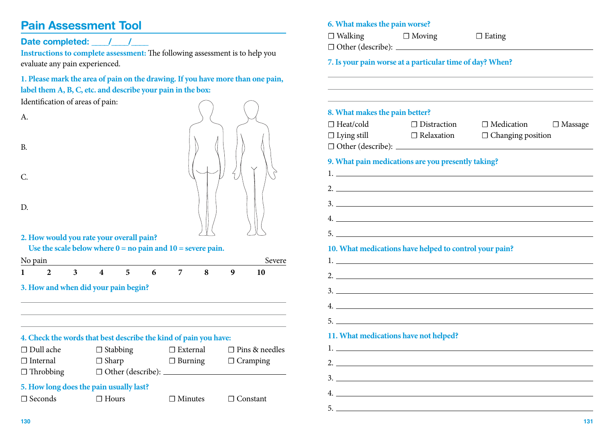# **Pain Assessment Tool**

# Date completed:  $\qquad$  /  $\qquad$  /

**Instructions to complete assessment:** The following assessment is to help you evaluate any pain experienced.

## **1. Please mark the area of pain on the drawing. If you have more than one pain, label them A, B, C, etc. and describe your pain in the box:**

Identification of areas of pain:



#### **6. What makes the pain worse?**

☐ Walking ☐ Moving ☐ Eating

☐ Other (describe):

**7. Is your pain worse at a particular time of day? When?**

#### **8. What makes the pain better?**

| $\Box$ Heat/cold                                   | $\Box$ Distraction | $\Box$ Medication        | $\Box$ Massage |
|----------------------------------------------------|--------------------|--------------------------|----------------|
| $\Box$ Lying still                                 | $\Box$ Relaxation  | $\Box$ Changing position |                |
| $\Box$ Other (describe): $\Box$                    |                    |                          |                |
| 9. What pain medications are you presently taking? |                    |                          |                |
| 2.                                                 |                    |                          |                |

3.

4.

5.

| 10. What medications have helped to control your pain? |  |  |
|--------------------------------------------------------|--|--|
|                                                        |  |  |
| 2.                                                     |  |  |
|                                                        |  |  |
| 4.                                                     |  |  |
| $5.$ $\overline{\phantom{a}}$                          |  |  |
| 11. What medications have not helped?                  |  |  |
|                                                        |  |  |
| 2. $\overline{\phantom{a}}$                            |  |  |
|                                                        |  |  |
| 4.                                                     |  |  |
| 5.                                                     |  |  |